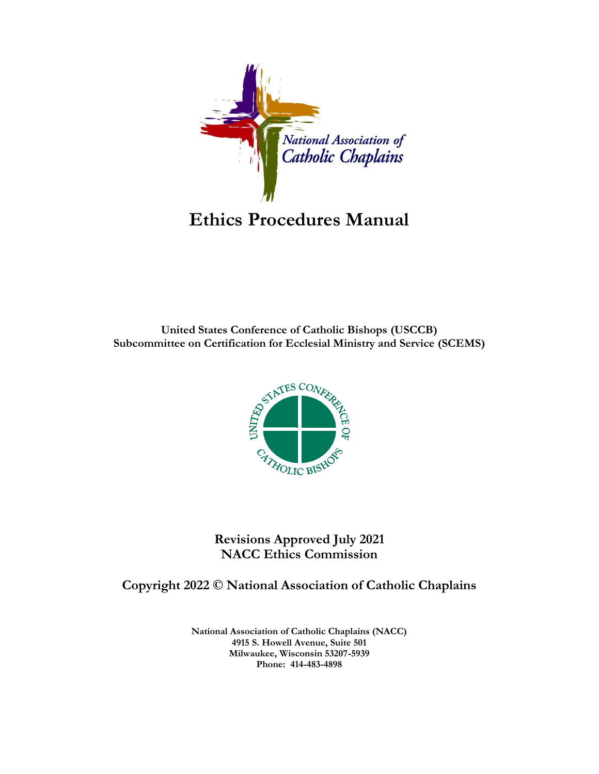

**United States Conference of Catholic Bishops (USCCB) Subcommittee on Certification for Ecclesial Ministry and Service (SCEMS)**



**Revisions Approved July 2021 NACC Ethics Commission**

# **Copyright 2022 © National Association of Catholic Chaplains**

**National Association of Catholic Chaplains (NACC) 4915 S. Howell Avenue, Suite 501 Milwaukee, Wisconsin 53207-5939 Phone: 414-483-4898**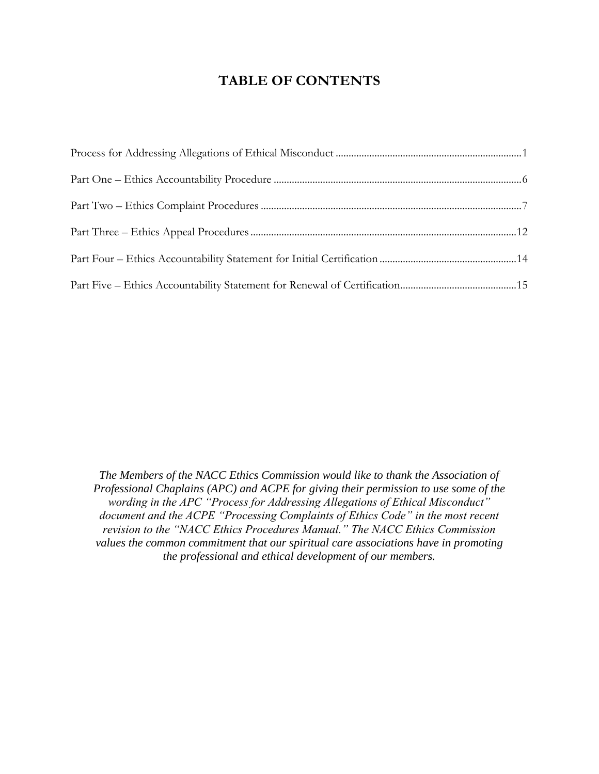# **TABLE OF CONTENTS**

*The Members of the NACC Ethics Commission would like to thank the Association of Professional Chaplains (APC) and ACPE for giving their permission to use some of the wording in the APC "Process for Addressing Allegations of Ethical Misconduct" document and the ACPE "Processing Complaints of Ethics Code" in the most recent revision to the "NACC Ethics Procedures Manual." The NACC Ethics Commission values the common commitment that our spiritual care associations have in promoting the professional and ethical development of our members.*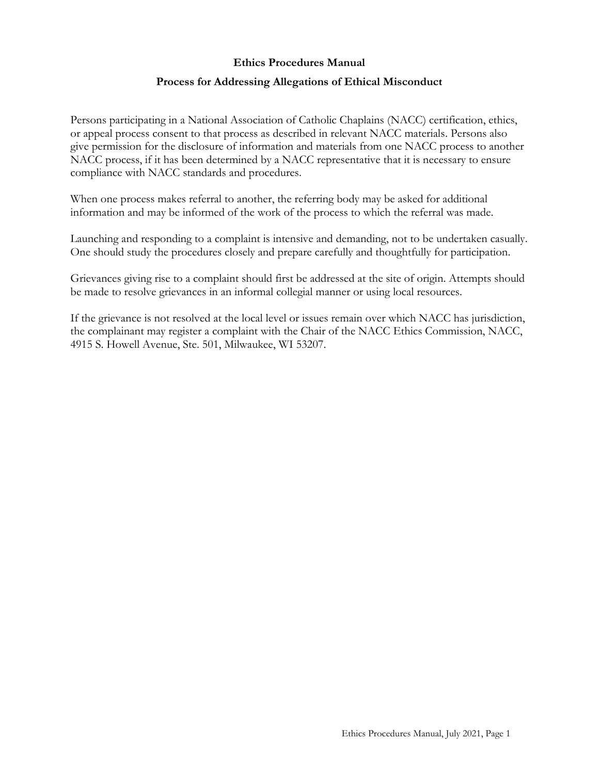#### **Process for Addressing Allegations of Ethical Misconduct**

<span id="page-2-0"></span>Persons participating in a National Association of Catholic Chaplains (NACC) certification, ethics, or appeal process consent to that process as described in relevant NACC materials. Persons also give permission for the disclosure of information and materials from one NACC process to another NACC process, if it has been determined by a NACC representative that it is necessary to ensure compliance with NACC standards and procedures.

When one process makes referral to another, the referring body may be asked for additional information and may be informed of the work of the process to which the referral was made.

Launching and responding to a complaint is intensive and demanding, not to be undertaken casually. One should study the procedures closely and prepare carefully and thoughtfully for participation.

Grievances giving rise to a complaint should first be addressed at the site of origin. Attempts should be made to resolve grievances in an informal collegial manner or using local resources.

If the grievance is not resolved at the local level or issues remain over which NACC has jurisdiction, the complainant may register a complaint with the Chair of the NACC Ethics Commission, NACC, 4915 S. Howell Avenue, Ste. 501, Milwaukee, WI 53207.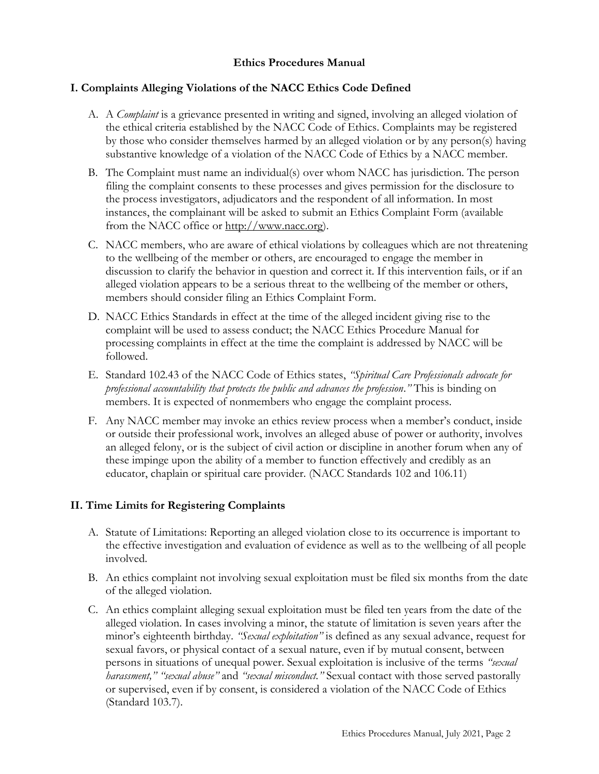## **I. Complaints Alleging Violations of the NACC Ethics Code Defined**

- A. A *Complaint* is a grievance presented in writing and signed, involving an alleged violation of the ethical criteria established by the NACC Code of Ethics. Complaints may be registered by those who consider themselves harmed by an alleged violation or by any person(s) having substantive knowledge of a violation of the NACC Code of Ethics by a NACC member.
- B. The Complaint must name an individual(s) over whom NACC has jurisdiction. The person filing the complaint consents to these processes and gives permission for the disclosure to the process investigators, adjudicators and the respondent of all information. In most instances, the complainant will be asked to submit an Ethics Complaint Form (available from the NACC office or [http://www.nacc.org\)](http://www.nacc.org/).
- C. NACC members, who are aware of ethical violations by colleagues which are not threatening to the wellbeing of the member or others, are encouraged to engage the member in discussion to clarify the behavior in question and correct it. If this intervention fails, or if an alleged violation appears to be a serious threat to the wellbeing of the member or others, members should consider filing an Ethics Complaint Form.
- D. NACC Ethics Standards in effect at the time of the alleged incident giving rise to the complaint will be used to assess conduct; the NACC Ethics Procedure Manual for processing complaints in effect at the time the complaint is addressed by NACC will be followed.
- E. Standard 102.43 of the NACC Code of Ethics states, *"Spiritual Care Professionals advocate for professional accountability that protects the public and advances the profession*.*"* This is binding on members. It is expected of nonmembers who engage the complaint process.
- F. Any NACC member may invoke an ethics review process when a member's conduct, inside or outside their professional work, involves an alleged abuse of power or authority, involves an alleged felony, or is the subject of civil action or discipline in another forum when any of these impinge upon the ability of a member to function effectively and credibly as an educator, chaplain or spiritual care provider. (NACC Standards 102 and 106.11)

# **II. Time Limits for Registering Complaints**

- A. Statute of Limitations: Reporting an alleged violation close to its occurrence is important to the effective investigation and evaluation of evidence as well as to the wellbeing of all people involved.
- B. An ethics complaint not involving sexual exploitation must be filed six months from the date of the alleged violation.
- C. An ethics complaint alleging sexual exploitation must be filed ten years from the date of the alleged violation. In cases involving a minor, the statute of limitation is seven years after the minor's eighteenth birthday. *"Sexual exploitation"* is defined as any sexual advance, request for sexual favors, or physical contact of a sexual nature, even if by mutual consent, between persons in situations of unequal power. Sexual exploitation is inclusive of the terms *"sexual harassment," "sexual abuse"* and *"sexual misconduct."* Sexual contact with those served pastorally or supervised, even if by consent, is considered a violation of the NACC Code of Ethics (Standard 103.7).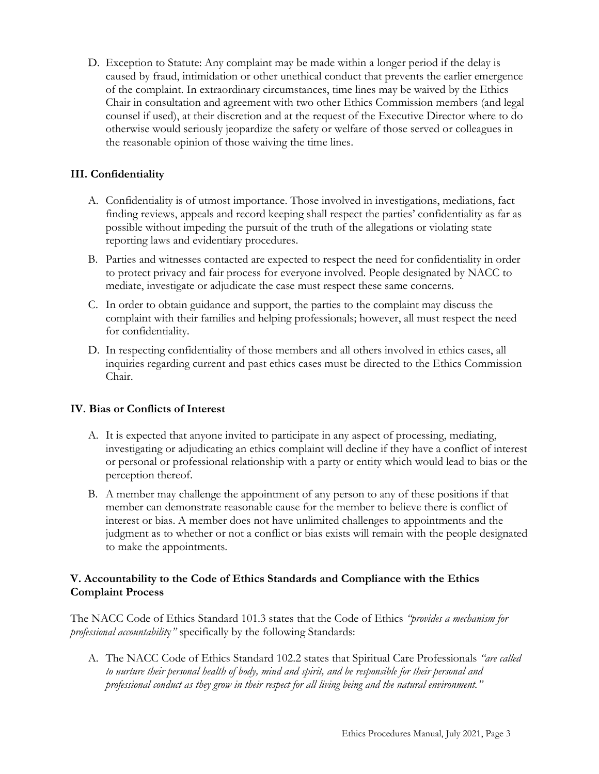D. Exception to Statute: Any complaint may be made within a longer period if the delay is caused by fraud, intimidation or other unethical conduct that prevents the earlier emergence of the complaint. In extraordinary circumstances, time lines may be waived by the Ethics Chair in consultation and agreement with two other Ethics Commission members (and legal counsel if used), at their discretion and at the request of the Executive Director where to do otherwise would seriously jeopardize the safety or welfare of those served or colleagues in the reasonable opinion of those waiving the time lines.

# **III. Confidentiality**

- A. Confidentiality is of utmost importance. Those involved in investigations, mediations, fact finding reviews, appeals and record keeping shall respect the parties' confidentiality as far as possible without impeding the pursuit of the truth of the allegations or violating state reporting laws and evidentiary procedures.
- B. Parties and witnesses contacted are expected to respect the need for confidentiality in order to protect privacy and fair process for everyone involved. People designated by NACC to mediate, investigate or adjudicate the case must respect these same concerns.
- C. In order to obtain guidance and support, the parties to the complaint may discuss the complaint with their families and helping professionals; however, all must respect the need for confidentiality.
- D. In respecting confidentiality of those members and all others involved in ethics cases, all inquiries regarding current and past ethics cases must be directed to the Ethics Commission Chair.

# **IV. Bias or Conflicts of Interest**

- A. It is expected that anyone invited to participate in any aspect of processing, mediating, investigating or adjudicating an ethics complaint will decline if they have a conflict of interest or personal or professional relationship with a party or entity which would lead to bias or the perception thereof.
- B. A member may challenge the appointment of any person to any of these positions if that member can demonstrate reasonable cause for the member to believe there is conflict of interest or bias. A member does not have unlimited challenges to appointments and the judgment as to whether or not a conflict or bias exists will remain with the people designated to make the appointments.

## **V. Accountability to the Code of Ethics Standards and Compliance with the Ethics Complaint Process**

The NACC Code of Ethics Standard 101.3 states that the Code of Ethics *"provides a mechanism for professional accountabilit*y*"* specifically by the following Standards:

A. The NACC Code of Ethics Standard 102.2 states that Spiritual Care Professionals *"are called to nurture their personal health of body, mind and spirit, and be responsible for their personal and professional conduct as they grow in their respect for all living being and the natural environment."*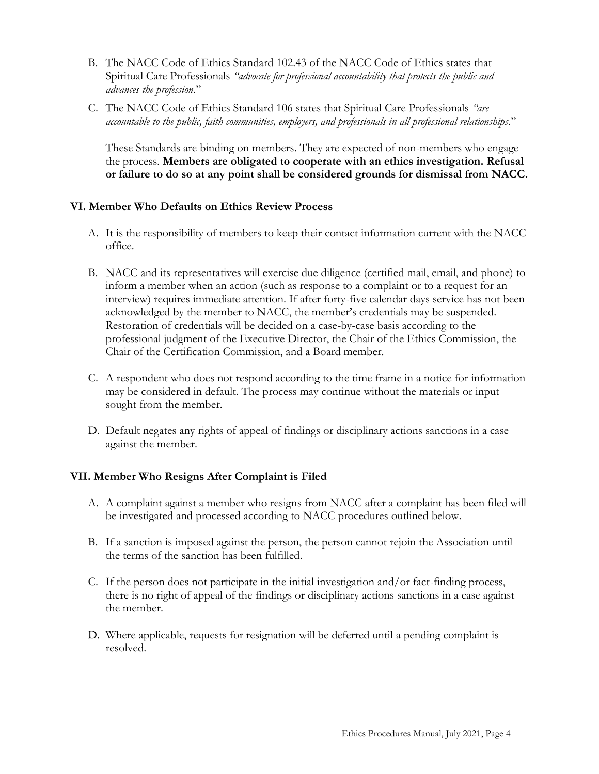- B. The NACC Code of Ethics Standard 102.43 of the NACC Code of Ethics states that Spiritual Care Professionals *"advocate for professional accountability that protects the public and advances the profession*."
- C. The NACC Code of Ethics Standard 106 states that Spiritual Care Professionals *"are accountable to the public, faith communities, employers, and professionals in all professional relationships*."

These Standards are binding on members. They are expected of non-members who engage the process. **Members are obligated to cooperate with an ethics investigation. Refusal or failure to do so at any point shall be considered grounds for dismissal from NACC.** 

## **VI. Member Who Defaults on Ethics Review Process**

- A. It is the responsibility of members to keep their contact information current with the NACC office.
- B. NACC and its representatives will exercise due diligence (certified mail, email, and phone) to inform a member when an action (such as response to a complaint or to a request for an interview) requires immediate attention. If after forty-five calendar days service has not been acknowledged by the member to NACC, the member's credentials may be suspended. Restoration of credentials will be decided on a case-by-case basis according to the professional judgment of the Executive Director, the Chair of the Ethics Commission, the Chair of the Certification Commission, and a Board member.
- C. A respondent who does not respond according to the time frame in a notice for information may be considered in default. The process may continue without the materials or input sought from the member.
- D. Default negates any rights of appeal of findings or disciplinary actions sanctions in a case against the member.

#### **VII. Member Who Resigns After Complaint is Filed**

- A. A complaint against a member who resigns from NACC after a complaint has been filed will be investigated and processed according to NACC procedures outlined below.
- B. If a sanction is imposed against the person, the person cannot rejoin the Association until the terms of the sanction has been fulfilled.
- C. If the person does not participate in the initial investigation and/or fact-finding process, there is no right of appeal of the findings or disciplinary actions sanctions in a case against the member.
- D. Where applicable, requests for resignation will be deferred until a pending complaint is resolved.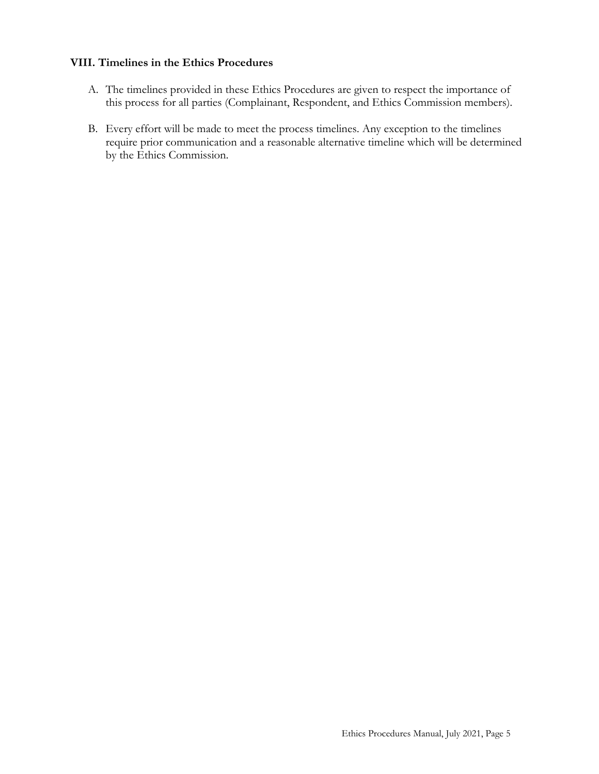#### **VIII. Timelines in the Ethics Procedures**

- A. The timelines provided in these Ethics Procedures are given to respect the importance of this process for all parties (Complainant, Respondent, and Ethics Commission members).
- B. Every effort will be made to meet the process timelines. Any exception to the timelines require prior communication and a reasonable alternative timeline which will be determined by the Ethics Commission.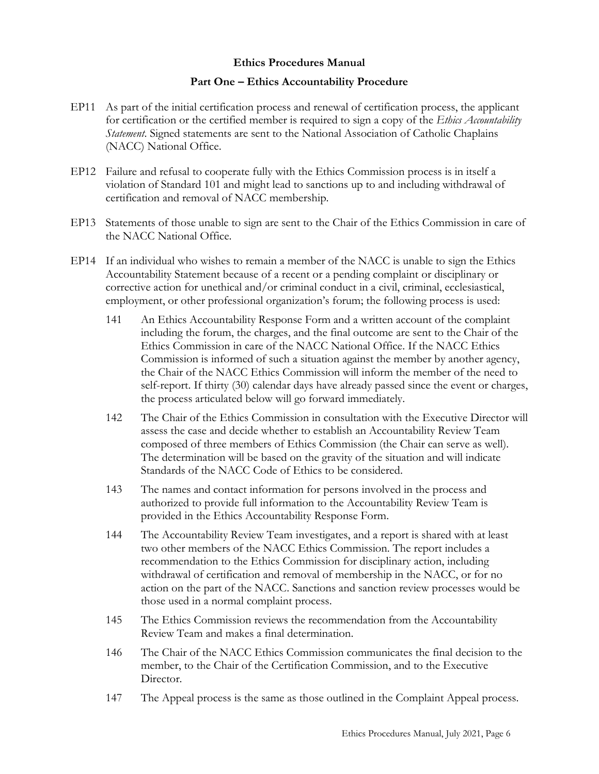#### **Part One – Ethics Accountability Procedure**

- <span id="page-7-0"></span>EP11 As part of the initial certification process and renewal of certification process, the applicant for certification or the certified member is required to sign a copy of the *Ethics Accountability Statement*. Signed statements are sent to the National Association of Catholic Chaplains (NACC) National Office.
- EP12 Failure and refusal to cooperate fully with the Ethics Commission process is in itself a violation of Standard 101 and might lead to sanctions up to and including withdrawal of certification and removal of NACC membership.
- EP13 Statements of those unable to sign are sent to the Chair of the Ethics Commission in care of the NACC National Office.
- EP14 If an individual who wishes to remain a member of the NACC is unable to sign the Ethics Accountability Statement because of a recent or a pending complaint or disciplinary or corrective action for unethical and/or criminal conduct in a civil, criminal, ecclesiastical, employment, or other professional organization's forum; the following process is used:
	- 141 An Ethics Accountability Response Form and a written account of the complaint including the forum, the charges, and the final outcome are sent to the Chair of the Ethics Commission in care of the NACC National Office. If the NACC Ethics Commission is informed of such a situation against the member by another agency, the Chair of the NACC Ethics Commission will inform the member of the need to self-report. If thirty (30) calendar days have already passed since the event or charges, the process articulated below will go forward immediately.
	- 142 The Chair of the Ethics Commission in consultation with the Executive Director will assess the case and decide whether to establish an Accountability Review Team composed of three members of Ethics Commission (the Chair can serve as well). The determination will be based on the gravity of the situation and will indicate Standards of the NACC Code of Ethics to be considered.
	- 143 The names and contact information for persons involved in the process and authorized to provide full information to the Accountability Review Team is provided in the Ethics Accountability Response Form.
	- 144 The Accountability Review Team investigates, and a report is shared with at least two other members of the NACC Ethics Commission. The report includes a recommendation to the Ethics Commission for disciplinary action, including withdrawal of certification and removal of membership in the NACC, or for no action on the part of the NACC. Sanctions and sanction review processes would be those used in a normal complaint process.
	- 145 The Ethics Commission reviews the recommendation from the Accountability Review Team and makes a final determination.
	- 146 The Chair of the NACC Ethics Commission communicates the final decision to the member, to the Chair of the Certification Commission, and to the Executive Director.
	- 147 The Appeal process is the same as those outlined in the Complaint Appeal process.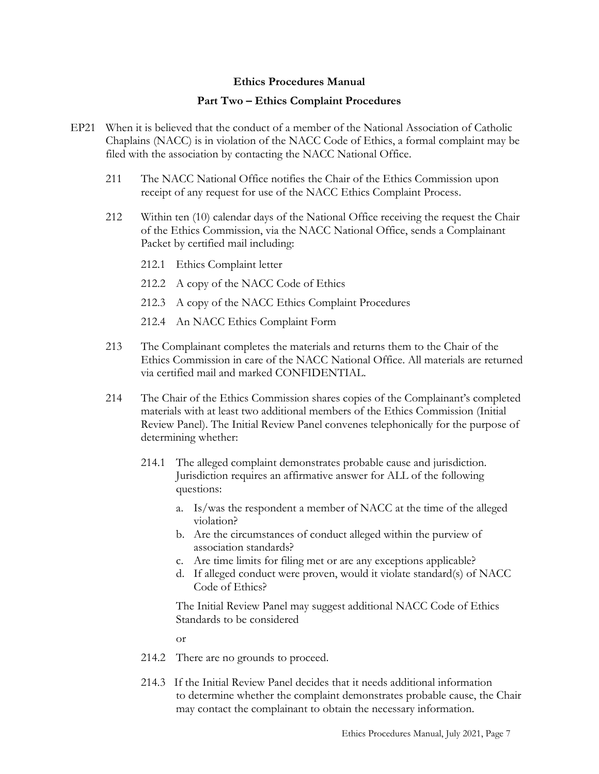#### **Part Two – Ethics Complaint Procedures**

- <span id="page-8-0"></span>EP21 When it is believed that the conduct of a member of the National Association of Catholic Chaplains (NACC) is in violation of the NACC Code of Ethics, a formal complaint may be filed with the association by contacting the NACC National Office.
	- 211 The NACC National Office notifies the Chair of the Ethics Commission upon receipt of any request for use of the NACC Ethics Complaint Process.
	- 212 Within ten (10) calendar days of the National Office receiving the request the Chair of the Ethics Commission, via the NACC National Office, sends a Complainant Packet by certified mail including:
		- 212.1 Ethics Complaint letter
		- 212.2 A copy of the NACC Code of Ethics
		- 212.3 A copy of the NACC Ethics Complaint Procedures
		- 212.4 An NACC Ethics Complaint Form
	- 213 The Complainant completes the materials and returns them to the Chair of the Ethics Commission in care of the NACC National Office. All materials are returned via certified mail and marked CONFIDENTIAL.
	- 214 The Chair of the Ethics Commission shares copies of the Complainant's completed materials with at least two additional members of the Ethics Commission (Initial Review Panel). The Initial Review Panel convenes telephonically for the purpose of determining whether:
		- 214.1 The alleged complaint demonstrates probable cause and jurisdiction. Jurisdiction requires an affirmative answer for ALL of the following questions:
			- a. Is/was the respondent a member of NACC at the time of the alleged violation?
			- b. Are the circumstances of conduct alleged within the purview of association standards?
			- c. Are time limits for filing met or are any exceptions applicable?
			- d. If alleged conduct were proven, would it violate standard(s) of NACC Code of Ethics?

The Initial Review Panel may suggest additional NACC Code of Ethics Standards to be considered

or

- 214.2 There are no grounds to proceed.
- 214.3 If the Initial Review Panel decides that it needs additional information to determine whether the complaint demonstrates probable cause, the Chair may contact the complainant to obtain the necessary information.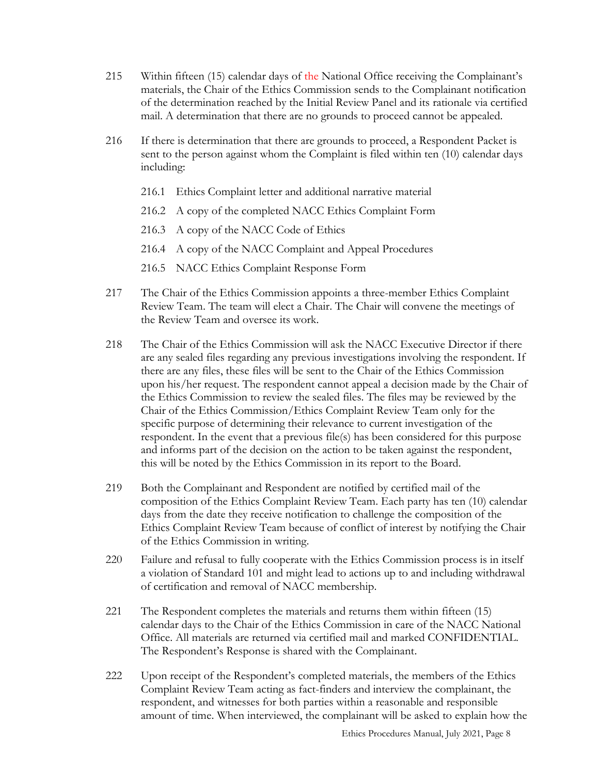- 215 Within fifteen (15) calendar days of the National Office receiving the Complainant's materials, the Chair of the Ethics Commission sends to the Complainant notification of the determination reached by the Initial Review Panel and its rationale via certified mail. A determination that there are no grounds to proceed cannot be appealed.
- 216 If there is determination that there are grounds to proceed, a Respondent Packet is sent to the person against whom the Complaint is filed within ten (10) calendar days including:
	- 216.1 Ethics Complaint letter and additional narrative material
	- 216.2 A copy of the completed NACC Ethics Complaint Form
	- 216.3 A copy of the NACC Code of Ethics
	- 216.4 A copy of the NACC Complaint and Appeal Procedures
	- 216.5 NACC Ethics Complaint Response Form
- 217 The Chair of the Ethics Commission appoints a three-member Ethics Complaint Review Team. The team will elect a Chair. The Chair will convene the meetings of the Review Team and oversee its work.
- 218 The Chair of the Ethics Commission will ask the NACC Executive Director if there are any sealed files regarding any previous investigations involving the respondent. If there are any files, these files will be sent to the Chair of the Ethics Commission upon his/her request. The respondent cannot appeal a decision made by the Chair of the Ethics Commission to review the sealed files. The files may be reviewed by the Chair of the Ethics Commission/Ethics Complaint Review Team only for the specific purpose of determining their relevance to current investigation of the respondent. In the event that a previous file(s) has been considered for this purpose and informs part of the decision on the action to be taken against the respondent, this will be noted by the Ethics Commission in its report to the Board.
- 219 Both the Complainant and Respondent are notified by certified mail of the composition of the Ethics Complaint Review Team. Each party has ten (10) calendar days from the date they receive notification to challenge the composition of the Ethics Complaint Review Team because of conflict of interest by notifying the Chair of the Ethics Commission in writing.
- 220 Failure and refusal to fully cooperate with the Ethics Commission process is in itself a violation of Standard 101 and might lead to actions up to and including withdrawal of certification and removal of NACC membership.
- 221 The Respondent completes the materials and returns them within fifteen (15) calendar days to the Chair of the Ethics Commission in care of the NACC National Office. All materials are returned via certified mail and marked CONFIDENTIAL. The Respondent's Response is shared with the Complainant.
- 222 Upon receipt of the Respondent's completed materials, the members of the Ethics Complaint Review Team acting as fact-finders and interview the complainant, the respondent, and witnesses for both parties within a reasonable and responsible amount of time. When interviewed, the complainant will be asked to explain how the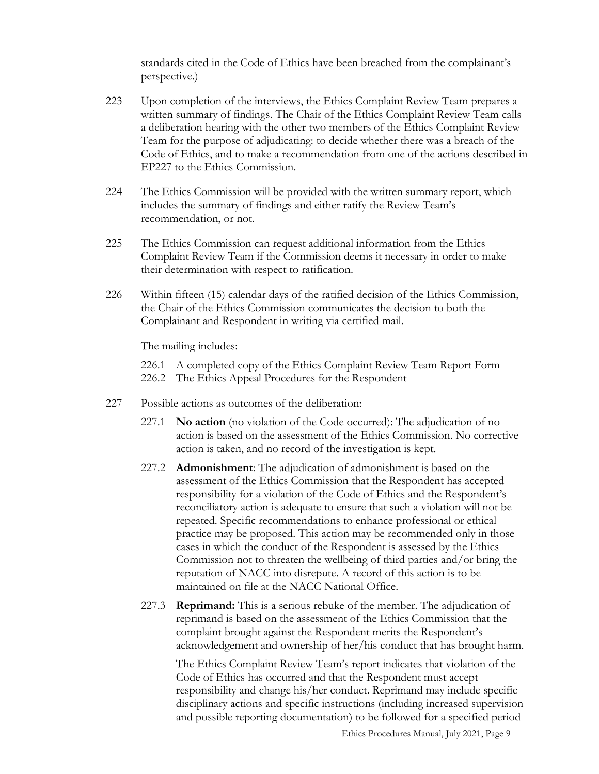standards cited in the Code of Ethics have been breached from the complainant's perspective.)

- 223 Upon completion of the interviews, the Ethics Complaint Review Team prepares a written summary of findings. The Chair of the Ethics Complaint Review Team calls a deliberation hearing with the other two members of the Ethics Complaint Review Team for the purpose of adjudicating: to decide whether there was a breach of the Code of Ethics, and to make a recommendation from one of the actions described in EP227 to the Ethics Commission.
- 224 The Ethics Commission will be provided with the written summary report, which includes the summary of findings and either ratify the Review Team's recommendation, or not.
- 225 The Ethics Commission can request additional information from the Ethics Complaint Review Team if the Commission deems it necessary in order to make their determination with respect to ratification.
- 226 Within fifteen (15) calendar days of the ratified decision of the Ethics Commission, the Chair of the Ethics Commission communicates the decision to both the Complainant and Respondent in writing via certified mail.

The mailing includes:

226.1 A completed copy of the Ethics Complaint Review Team Report Form 226.2 The Ethics Appeal Procedures for the Respondent

- 227 Possible actions as outcomes of the deliberation:
	- 227.1 **No action** (no violation of the Code occurred): The adjudication of no action is based on the assessment of the Ethics Commission. No corrective action is taken, and no record of the investigation is kept.
	- 227.2 **Admonishment**: The adjudication of admonishment is based on the assessment of the Ethics Commission that the Respondent has accepted responsibility for a violation of the Code of Ethics and the Respondent's reconciliatory action is adequate to ensure that such a violation will not be repeated. Specific recommendations to enhance professional or ethical practice may be proposed. This action may be recommended only in those cases in which the conduct of the Respondent is assessed by the Ethics Commission not to threaten the wellbeing of third parties and/or bring the reputation of NACC into disrepute. A record of this action is to be maintained on file at the NACC National Office.
	- 227.3 **Reprimand:** This is a serious rebuke of the member. The adjudication of reprimand is based on the assessment of the Ethics Commission that the complaint brought against the Respondent merits the Respondent's acknowledgement and ownership of her/his conduct that has brought harm.

The Ethics Complaint Review Team's report indicates that violation of the Code of Ethics has occurred and that the Respondent must accept responsibility and change his/her conduct. Reprimand may include specific disciplinary actions and specific instructions (including increased supervision and possible reporting documentation) to be followed for a specified period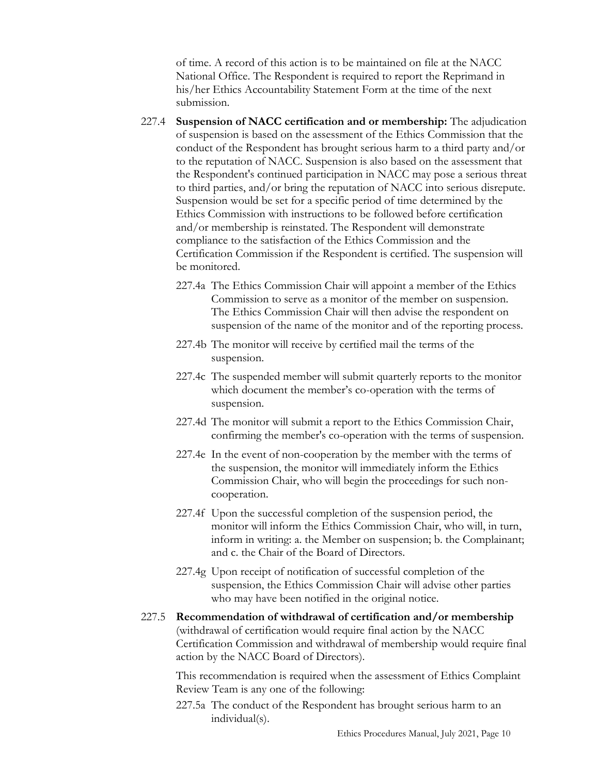of time. A record of this action is to be maintained on file at the NACC National Office. The Respondent is required to report the Reprimand in his/her Ethics Accountability Statement Form at the time of the next submission.

- 227.4 **Suspension of NACC certification and or membership:** The adjudication of suspension is based on the assessment of the Ethics Commission that the conduct of the Respondent has brought serious harm to a third party and/or to the reputation of NACC. Suspension is also based on the assessment that the Respondent's continued participation in NACC may pose a serious threat to third parties, and/or bring the reputation of NACC into serious disrepute. Suspension would be set for a specific period of time determined by the Ethics Commission with instructions to be followed before certification and/or membership is reinstated. The Respondent will demonstrate compliance to the satisfaction of the Ethics Commission and the Certification Commission if the Respondent is certified. The suspension will be monitored.
	- 227.4a The Ethics Commission Chair will appoint a member of the Ethics Commission to serve as a monitor of the member on suspension. The Ethics Commission Chair will then advise the respondent on suspension of the name of the monitor and of the reporting process.
	- 227.4b The monitor will receive by certified mail the terms of the suspension.
	- 227.4c The suspended member will submit quarterly reports to the monitor which document the member's co-operation with the terms of suspension.
	- 227.4d The monitor will submit a report to the Ethics Commission Chair, confirming the member's co-operation with the terms of suspension.
	- 227.4e In the event of non-cooperation by the member with the terms of the suspension, the monitor will immediately inform the Ethics Commission Chair, who will begin the proceedings for such noncooperation.
	- 227.4f Upon the successful completion of the suspension period, the monitor will inform the Ethics Commission Chair, who will, in turn, inform in writing: a. the Member on suspension; b. the Complainant; and c. the Chair of the Board of Directors.
	- 227.4g Upon receipt of notification of successful completion of the suspension, the Ethics Commission Chair will advise other parties who may have been notified in the original notice.
- 227.5 **Recommendation of withdrawal of certification and/or membership** (withdrawal of certification would require final action by the NACC Certification Commission and withdrawal of membership would require final action by the NACC Board of Directors).

This recommendation is required when the assessment of Ethics Complaint Review Team is any one of the following:

227.5a The conduct of the Respondent has brought serious harm to an individual(s).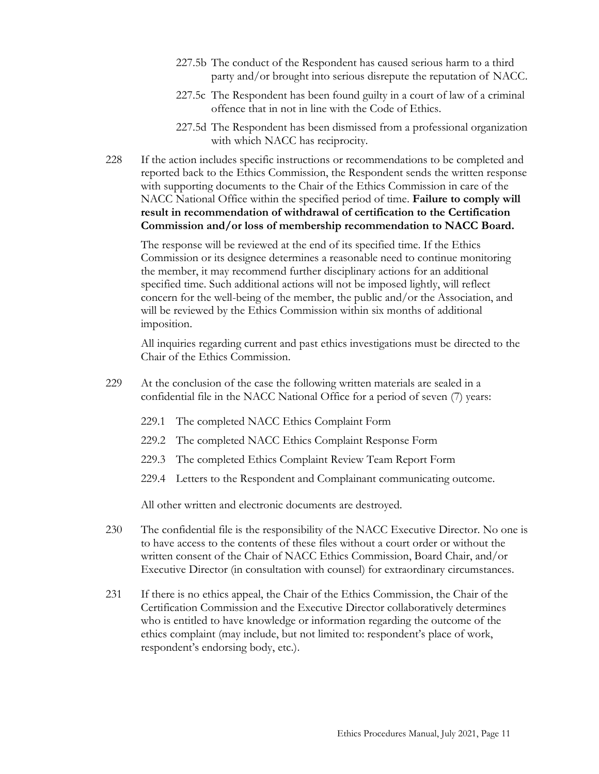- 227.5b The conduct of the Respondent has caused serious harm to a third party and/or brought into serious disrepute the reputation of NACC.
- 227.5c The Respondent has been found guilty in a court of law of a criminal offence that in not in line with the Code of Ethics.
- 227.5d The Respondent has been dismissed from a professional organization with which NACC has reciprocity.
- 228 If the action includes specific instructions or recommendations to be completed and reported back to the Ethics Commission, the Respondent sends the written response with supporting documents to the Chair of the Ethics Commission in care of the NACC National Office within the specified period of time. **Failure to comply will result in recommendation of withdrawal of certification to the Certification Commission and/or loss of membership recommendation to NACC Board.**

The response will be reviewed at the end of its specified time. If the Ethics Commission or its designee determines a reasonable need to continue monitoring the member, it may recommend further disciplinary actions for an additional specified time. Such additional actions will not be imposed lightly, will reflect concern for the well-being of the member, the public and/or the Association, and will be reviewed by the Ethics Commission within six months of additional imposition.

All inquiries regarding current and past ethics investigations must be directed to the Chair of the Ethics Commission.

- 229 At the conclusion of the case the following written materials are sealed in a confidential file in the NACC National Office for a period of seven (7) years:
	- 229.1 The completed NACC Ethics Complaint Form
	- 229.2 The completed NACC Ethics Complaint Response Form
	- 229.3 The completed Ethics Complaint Review Team Report Form
	- 229.4 Letters to the Respondent and Complainant communicating outcome.

All other written and electronic documents are destroyed.

- 230 The confidential file is the responsibility of the NACC Executive Director. No one is to have access to the contents of these files without a court order or without the written consent of the Chair of NACC Ethics Commission, Board Chair, and/or Executive Director (in consultation with counsel) for extraordinary circumstances.
- 231 If there is no ethics appeal, the Chair of the Ethics Commission, the Chair of the Certification Commission and the Executive Director collaboratively determines who is entitled to have knowledge or information regarding the outcome of the ethics complaint (may include, but not limited to: respondent's place of work, respondent's endorsing body, etc.).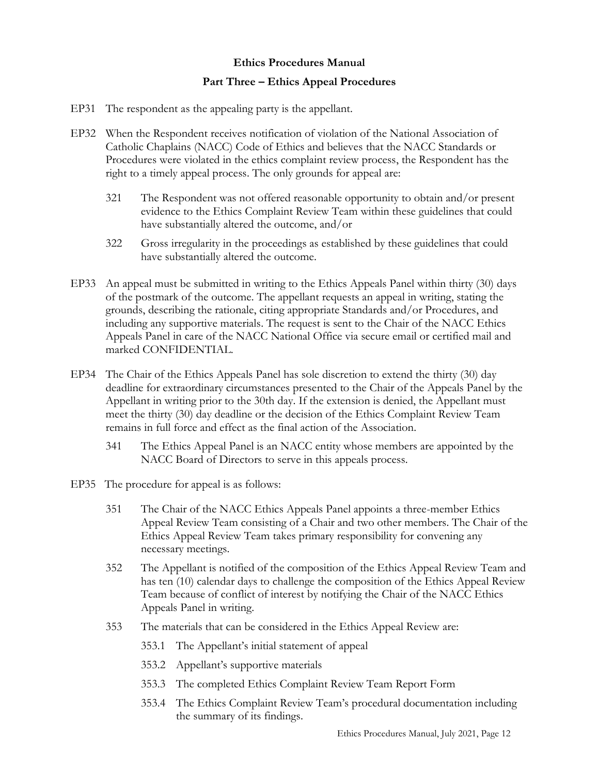#### **Part Three – Ethics Appeal Procedures**

- <span id="page-13-0"></span>EP31 The respondent as the appealing party is the appellant.
- EP32 When the Respondent receives notification of violation of the National Association of Catholic Chaplains (NACC) Code of Ethics and believes that the NACC Standards or Procedures were violated in the ethics complaint review process, the Respondent has the right to a timely appeal process. The only grounds for appeal are:
	- 321 The Respondent was not offered reasonable opportunity to obtain and/or present evidence to the Ethics Complaint Review Team within these guidelines that could have substantially altered the outcome, and/or
	- 322 Gross irregularity in the proceedings as established by these guidelines that could have substantially altered the outcome.
- EP33 An appeal must be submitted in writing to the Ethics Appeals Panel within thirty (30) days of the postmark of the outcome. The appellant requests an appeal in writing, stating the grounds, describing the rationale, citing appropriate Standards and/or Procedures, and including any supportive materials. The request is sent to the Chair of the NACC Ethics Appeals Panel in care of the NACC National Office via secure email or certified mail and marked CONFIDENTIAL.
- EP34 The Chair of the Ethics Appeals Panel has sole discretion to extend the thirty (30) day deadline for extraordinary circumstances presented to the Chair of the Appeals Panel by the Appellant in writing prior to the 30th day. If the extension is denied, the Appellant must meet the thirty (30) day deadline or the decision of the Ethics Complaint Review Team remains in full force and effect as the final action of the Association.
	- 341 The Ethics Appeal Panel is an NACC entity whose members are appointed by the NACC Board of Directors to serve in this appeals process.
- EP35 The procedure for appeal is as follows:
	- 351 The Chair of the NACC Ethics Appeals Panel appoints a three-member Ethics Appeal Review Team consisting of a Chair and two other members. The Chair of the Ethics Appeal Review Team takes primary responsibility for convening any necessary meetings.
	- 352 The Appellant is notified of the composition of the Ethics Appeal Review Team and has ten (10) calendar days to challenge the composition of the Ethics Appeal Review Team because of conflict of interest by notifying the Chair of the NACC Ethics Appeals Panel in writing.
	- 353 The materials that can be considered in the Ethics Appeal Review are:
		- 353.1 The Appellant's initial statement of appeal
		- 353.2 Appellant's supportive materials
		- 353.3 The completed Ethics Complaint Review Team Report Form
		- 353.4 The Ethics Complaint Review Team's procedural documentation including the summary of its findings.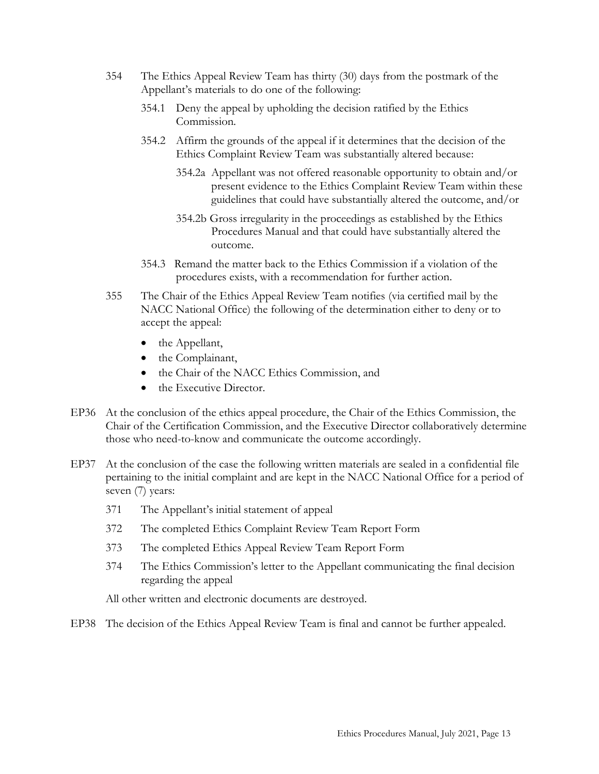- 354 The Ethics Appeal Review Team has thirty (30) days from the postmark of the Appellant's materials to do one of the following:
	- 354.1 Deny the appeal by upholding the decision ratified by the Ethics Commission.
	- 354.2 Affirm the grounds of the appeal if it determines that the decision of the Ethics Complaint Review Team was substantially altered because:
		- 354.2a Appellant was not offered reasonable opportunity to obtain and/or present evidence to the Ethics Complaint Review Team within these guidelines that could have substantially altered the outcome, and/or
		- 354.2b Gross irregularity in the proceedings as established by the Ethics Procedures Manual and that could have substantially altered the outcome.
	- 354.3 Remand the matter back to the Ethics Commission if a violation of the procedures exists, with a recommendation for further action.
- 355 The Chair of the Ethics Appeal Review Team notifies (via certified mail by the NACC National Office) the following of the determination either to deny or to accept the appeal:
	- the Appellant,
	- the Complainant,
	- the Chair of the NACC Ethics Commission, and
	- the Executive Director.
- EP36 At the conclusion of the ethics appeal procedure, the Chair of the Ethics Commission, the Chair of the Certification Commission, and the Executive Director collaboratively determine those who need-to-know and communicate the outcome accordingly.
- EP37 At the conclusion of the case the following written materials are sealed in a confidential file pertaining to the initial complaint and are kept in the NACC National Office for a period of seven (7) years:
	- 371 The Appellant's initial statement of appeal
	- 372 The completed Ethics Complaint Review Team Report Form
	- 373 The completed Ethics Appeal Review Team Report Form
	- 374 The Ethics Commission's letter to the Appellant communicating the final decision regarding the appeal

All other written and electronic documents are destroyed.

EP38 The decision of the Ethics Appeal Review Team is final and cannot be further appealed.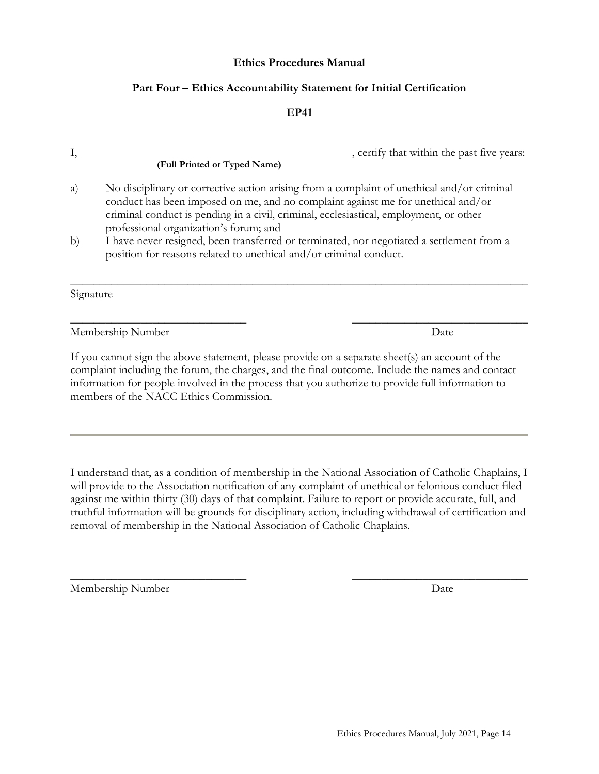#### **Part Four – Ethics Accountability Statement for Initial Certification**

#### **EP41**

<span id="page-15-0"></span>

|    |                                                                                                                                                                                                                                                                                                                    | , certify that within the past five years: |  |  |
|----|--------------------------------------------------------------------------------------------------------------------------------------------------------------------------------------------------------------------------------------------------------------------------------------------------------------------|--------------------------------------------|--|--|
|    | (Full Printed or Typed Name)                                                                                                                                                                                                                                                                                       |                                            |  |  |
| a) | No disciplinary or corrective action arising from a complaint of unethical and/or criminal<br>conduct has been imposed on me, and no complaint against me for unethical and/or<br>criminal conduct is pending in a civil, criminal, ecclesiastical, employment, or other<br>professional organization's forum; and |                                            |  |  |
| b) | I have never resigned, been transferred or terminated, nor negotiated a settlement from a<br>position for reasons related to unethical and/or criminal conduct.                                                                                                                                                    |                                            |  |  |
|    | Signature                                                                                                                                                                                                                                                                                                          |                                            |  |  |
|    | Membership Number                                                                                                                                                                                                                                                                                                  | Date                                       |  |  |
|    | If you cannot sign the above statement, please provide on a separate sheet(s) an account of the<br>, consistent in the first the Common the choice of contact Carel concerns. The locks the memory and contract                                                                                                    |                                            |  |  |

complaint including the forum, the charges, and the final outcome. Include the names and contact information for people involved in the process that you authorize to provide full information to members of the NACC Ethics Commission.

I understand that, as a condition of membership in the National Association of Catholic Chaplains, I will provide to the Association notification of any complaint of unethical or felonious conduct filed against me within thirty (30) days of that complaint. Failure to report or provide accurate, full, and truthful information will be grounds for disciplinary action, including withdrawal of certification and removal of membership in the National Association of Catholic Chaplains.

 $\overline{\phantom{a}}$  , and the contract of the contract of the contract of the contract of the contract of the contract of the contract of the contract of the contract of the contract of the contract of the contract of the contrac

Membership Number Date